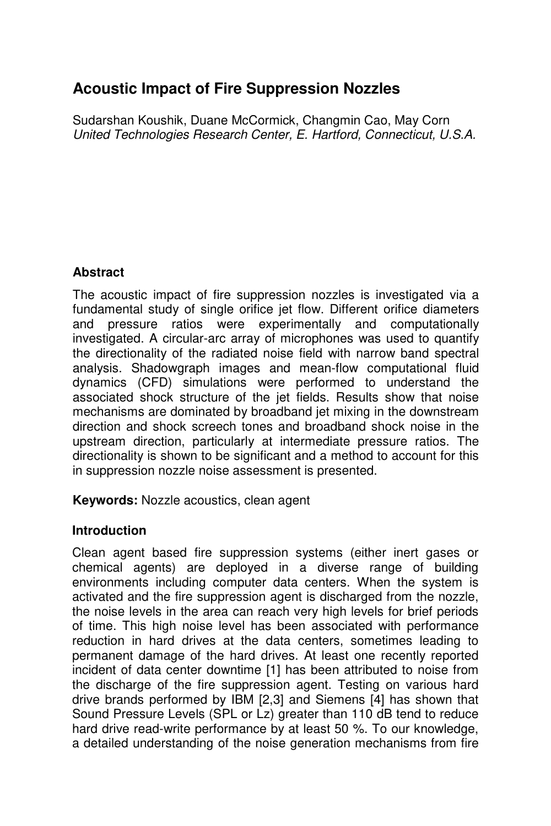# **Acoustic Impact of Fire Suppression Nozzles**

Sudarshan Koushik, Duane McCormick, Changmin Cao, May Corn United Technologies Research Center, E. Hartford, Connecticut, U.S.A.

# **Abstract**

The acoustic impact of fire suppression nozzles is investigated via a fundamental study of single orifice jet flow. Different orifice diameters and pressure ratios were experimentally and computationally investigated. A circular-arc array of microphones was used to quantify the directionality of the radiated noise field with narrow band spectral analysis. Shadowgraph images and mean-flow computational fluid dynamics (CFD) simulations were performed to understand the associated shock structure of the jet fields. Results show that noise mechanisms are dominated by broadband jet mixing in the downstream direction and shock screech tones and broadband shock noise in the upstream direction, particularly at intermediate pressure ratios. The directionality is shown to be significant and a method to account for this in suppression nozzle noise assessment is presented.

**Keywords:** Nozzle acoustics, clean agent

# **Introduction**

Clean agent based fire suppression systems (either inert gases or chemical agents) are deployed in a diverse range of building environments including computer data centers. When the system is activated and the fire suppression agent is discharged from the nozzle, the noise levels in the area can reach very high levels for brief periods of time. This high noise level has been associated with performance reduction in hard drives at the data centers, sometimes leading to permanent damage of the hard drives. At least one recently reported incident of data center downtime [1] has been attributed to noise from the discharge of the fire suppression agent. Testing on various hard drive brands performed by IBM [2,3] and Siemens [4] has shown that Sound Pressure Levels (SPL or Lz) greater than 110 dB tend to reduce hard drive read-write performance by at least 50 %. To our knowledge, a detailed understanding of the noise generation mechanisms from fire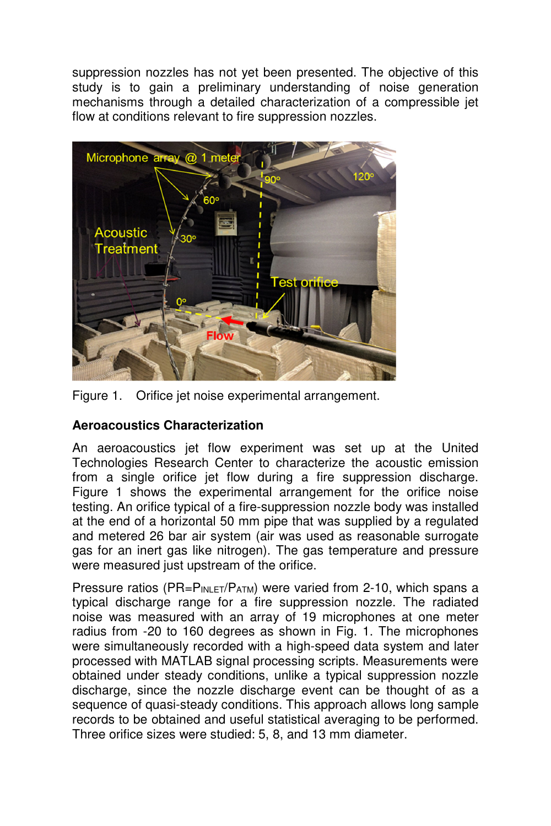suppression nozzles has not yet been presented. The objective of this study is to gain a preliminary understanding of noise generation mechanisms through a detailed characterization of a compressible jet flow at conditions relevant to fire suppression nozzles.



Figure 1. Orifice jet noise experimental arrangement.

# **Aeroacoustics Characterization**

An aeroacoustics jet flow experiment was set up at the United Technologies Research Center to characterize the acoustic emission from a single orifice jet flow during a fire suppression discharge. Figure 1 shows the experimental arrangement for the orifice noise testing. An orifice typical of a fire-suppression nozzle body was installed at the end of a horizontal 50 mm pipe that was supplied by a regulated and metered 26 bar air system (air was used as reasonable surrogate gas for an inert gas like nitrogen). The gas temperature and pressure were measured just upstream of the orifice.

Pressure ratios ( $PR = P_{INLET}/P_{ATM}$ ) were varied from 2-10, which spans a typical discharge range for a fire suppression nozzle. The radiated noise was measured with an array of 19 microphones at one meter radius from -20 to 160 degrees as shown in Fig. 1. The microphones were simultaneously recorded with a high-speed data system and later processed with MATLAB signal processing scripts. Measurements were obtained under steady conditions, unlike a typical suppression nozzle discharge, since the nozzle discharge event can be thought of as a sequence of quasi-steady conditions. This approach allows long sample records to be obtained and useful statistical averaging to be performed. Three orifice sizes were studied: 5, 8, and 13 mm diameter.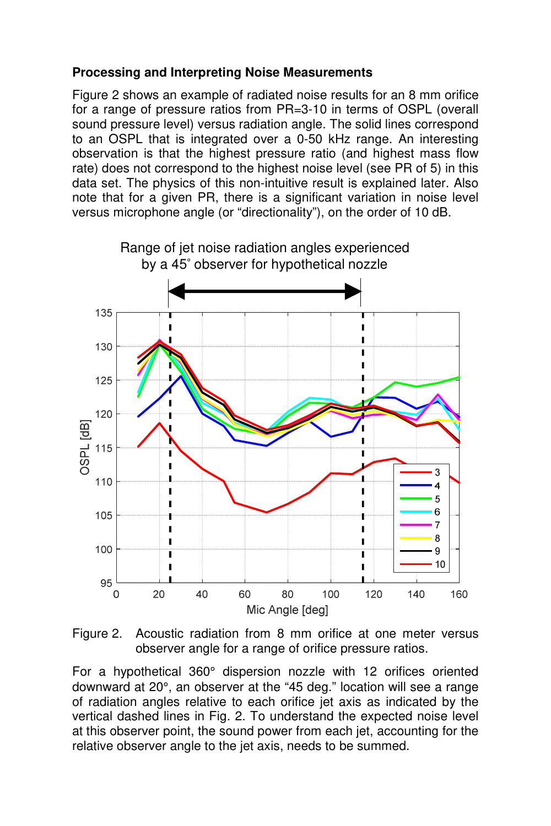# **Processing and Interpreting Noise Measurements**

Figure 2 shows an example of radiated noise results for an 8 mm orifice for a range of pressure ratios from PR=3-10 in terms of OSPL (overall sound pressure level) versus radiation angle. The solid lines correspond to an OSPL that is integrated over a 0-50 kHz range. An interesting observation is that the highest pressure ratio (and highest mass flow rate) does not correspond to the highest noise level (see PR of 5) in this data set. The physics of this non-intuitive result is explained later. Also note that for a given PR, there is a significant variation in noise level versus microphone angle (or "directionality"), on the order of 10 dB.



Figure 2. Acoustic radiation from 8 mm orifice at one meter versus observer angle for a range of orifice pressure ratios.

For a hypothetical 360° dispersion nozzle with 12 orifices oriented downward at 20°, an observer at the "45 deg." location will see a range of radiation angles relative to each orifice jet axis as indicated by the vertical dashed lines in Fig. 2. To understand the expected noise level at this observer point, the sound power from each jet, accounting for the relative observer angle to the jet axis, needs to be summed.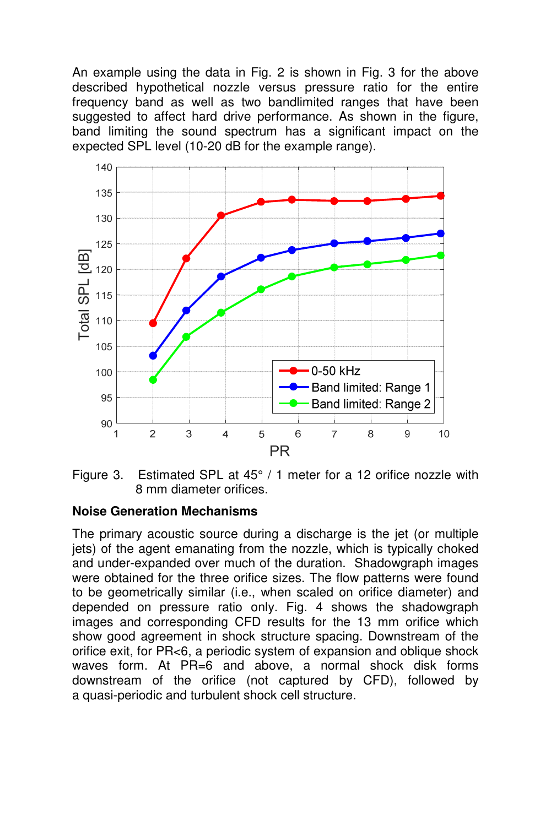An example using the data in Fig. 2 is shown in Fig. 3 for the above described hypothetical nozzle versus pressure ratio for the entire frequency band as well as two bandlimited ranges that have been suggested to affect hard drive performance. As shown in the figure, band limiting the sound spectrum has a significant impact on the expected SPL level (10-20 dB for the example range).



Figure 3. Estimated SPL at 45° / 1 meter for a 12 orifice nozzle with 8 mm diameter orifices.

#### **Noise Generation Mechanisms**

The primary acoustic source during a discharge is the jet (or multiple jets) of the agent emanating from the nozzle, which is typically choked and under-expanded over much of the duration. Shadowgraph images were obtained for the three orifice sizes. The flow patterns were found to be geometrically similar (i.e., when scaled on orifice diameter) and depended on pressure ratio only. Fig. 4 shows the shadowgraph images and corresponding CFD results for the 13 mm orifice which show good agreement in shock structure spacing. Downstream of the orifice exit, for PR<6, a periodic system of expansion and oblique shock waves form. At PR=6 and above, a normal shock disk forms downstream of the orifice (not captured by CFD), followed by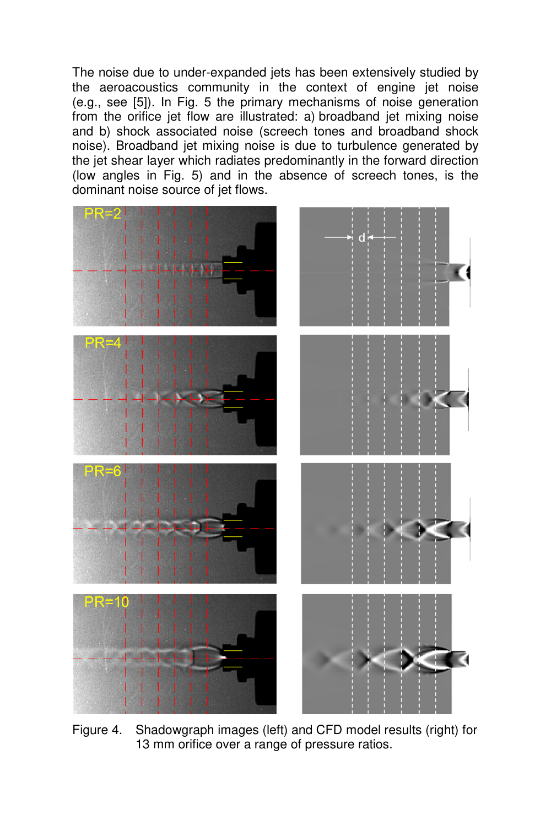The noise due to under-expanded jets has been extensively studied by the aeroacoustics community in the context of engine jet noise (e.g., see [5]). In Fig. 5 the primary mechanisms of noise generation from the orifice jet flow are illustrated: a) broadband jet mixing noise and b) shock associated noise (screech tones and broadband shock noise). Broadband jet mixing noise is due to turbulence generated by the jet shear layer which radiates predominantly in the forward direction (low angles in Fig. 5) and in the absence of screech tones, is the dominant noise source of jet flows.



Figure 4. Shadowgraph images (left) and CFD model results (right) for 13 mm orifice over a range of pressure ratios.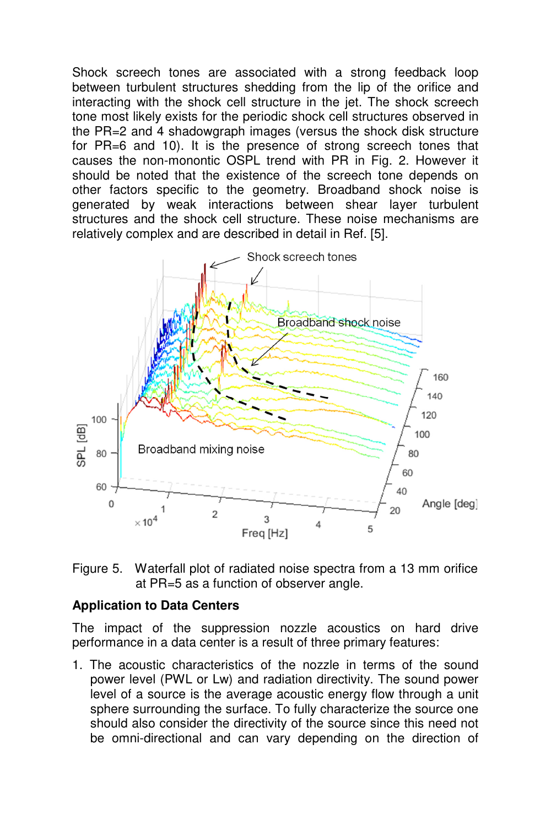Shock screech tones are associated with a strong feedback loop between turbulent structures shedding from the lip of the orifice and interacting with the shock cell structure in the jet. The shock screech tone most likely exists for the periodic shock cell structures observed in the PR=2 and 4 shadowgraph images (versus the shock disk structure for PR=6 and 10). It is the presence of strong screech tones that causes the non-monontic OSPL trend with PR in Fig. 2. However it should be noted that the existence of the screech tone depends on other factors specific to the geometry. Broadband shock noise is generated by weak interactions between shear layer turbulent structures and the shock cell structure. These noise mechanisms are relatively complex and are described in detail in Ref. [5].





#### **Application to Data Centers**

The impact of the suppression nozzle acoustics on hard drive performance in a data center is a result of three primary features:

1. The acoustic characteristics of the nozzle in terms of the sound power level (PWL or Lw) and radiation directivity. The sound power level of a source is the average acoustic energy flow through a unit sphere surrounding the surface. To fully characterize the source one should also consider the directivity of the source since this need not be omni-directional and can vary depending on the direction of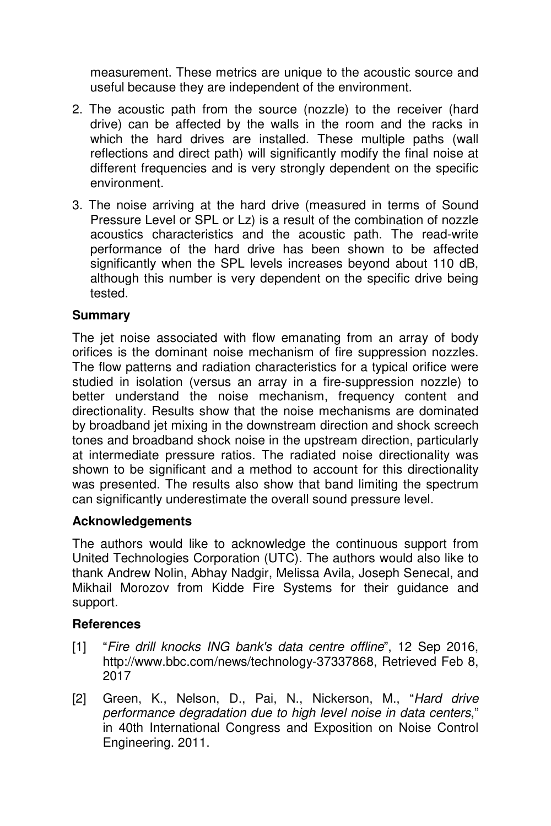measurement. These metrics are unique to the acoustic source and useful because they are independent of the environment.

- 2. The acoustic path from the source (nozzle) to the receiver (hard drive) can be affected by the walls in the room and the racks in which the hard drives are installed. These multiple paths (wall reflections and direct path) will significantly modify the final noise at different frequencies and is very strongly dependent on the specific environment.
- 3. The noise arriving at the hard drive (measured in terms of Sound Pressure Level or SPL or Lz) is a result of the combination of nozzle acoustics characteristics and the acoustic path. The read-write performance of the hard drive has been shown to be affected significantly when the SPL levels increases beyond about 110 dB, although this number is very dependent on the specific drive being tested.

# **Summary**

The jet noise associated with flow emanating from an array of body orifices is the dominant noise mechanism of fire suppression nozzles. The flow patterns and radiation characteristics for a typical orifice were studied in isolation (versus an array in a fire-suppression nozzle) to better understand the noise mechanism, frequency content and directionality. Results show that the noise mechanisms are dominated by broadband jet mixing in the downstream direction and shock screech tones and broadband shock noise in the upstream direction, particularly at intermediate pressure ratios. The radiated noise directionality was shown to be significant and a method to account for this directionality was presented. The results also show that band limiting the spectrum can significantly underestimate the overall sound pressure level.

# **Acknowledgements**

The authors would like to acknowledge the continuous support from United Technologies Corporation (UTC). The authors would also like to thank Andrew Nolin, Abhay Nadgir, Melissa Avila, Joseph Senecal, and Mikhail Morozov from Kidde Fire Systems for their guidance and support.

# **References**

- [1] "Fire drill knocks ING bank's data centre offline", 12 Sep 2016, http://www.bbc.com/news/technology-37337868, Retrieved Feb 8, 2017
- [2] Green, K., Nelson, D., Pai, N., Nickerson, M., "Hard drive performance degradation due to high level noise in data centers," in 40th International Congress and Exposition on Noise Control Engineering. 2011.